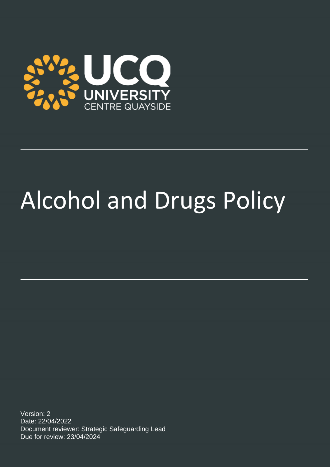

# Alcohol and Drugs Policy

Version: 2 Date: 22/04/2022 Document reviewer: Strategic Safeguarding Lead Due for review: 23/04/2024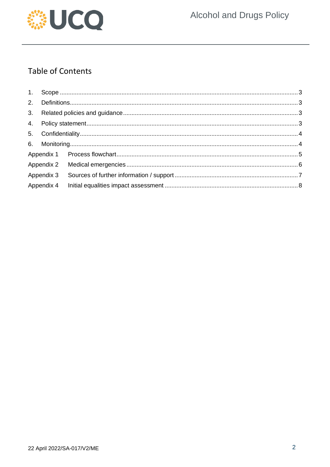

# **Table of Contents**

| Appendix 4 |  |  |
|------------|--|--|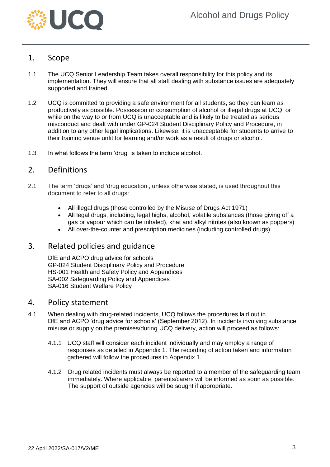

## <span id="page-2-0"></span>1. Scope

- 1.1 The UCQ Senior Leadership Team takes overall responsibility for this policy and its implementation. They will ensure that all staff dealing with substance issues are adequately supported and trained.
- 1.2 UCQ is committed to providing a safe environment for all students, so they can learn as productively as possible. Possession or consumption of alcohol or illegal drugs at UCQ, or while on the way to or from UCQ is unacceptable and is likely to be treated as serious misconduct and dealt with under GP-024 Student Disciplinary Policy and Procedure, in addition to any other legal implications. Likewise, it is unacceptable for students to arrive to their training venue unfit for learning and/or work as a result of drugs or alcohol.
- 1.3 In what follows the term 'drug' is taken to include alcohol.

## <span id="page-2-1"></span>2. Definitions

- 2.1 The term 'drugs' and 'drug education', unless otherwise stated, is used throughout this document to refer to all drugs:
	- All illegal drugs (those controlled by the Misuse of Drugs Act 1971)
	- All legal drugs, including, legal highs, alcohol, volatile substances (those giving off a gas or vapour which can be inhaled), khat and alkyl nitrites (also known as poppers)
	- All over-the-counter and prescription medicines (including controlled drugs)

## <span id="page-2-2"></span>3. Related policies and guidance

DfE and ACPO drug advice for schools GP-024 Student Disciplinary Policy and Procedure HS-001 Health and Safety Policy and Appendices SA-002 Safeguarding Policy and Appendices SA-016 Student Welfare Policy

### <span id="page-2-3"></span>4. Policy statement

- 4.1 When dealing with drug-related incidents, UCQ follows the procedures laid out in DfE and ACPO 'drug advice for schools' (September 2012). In incidents involving substance misuse or supply on the premises/during UCQ delivery, action will proceed as follows:
	- 4.1.1 UCQ staff will consider each incident individually and may employ a range of responses as detailed in Appendix 1*.* The recording of action taken and information gathered will follow the procedures in Appendix 1.
	- 4.1.2 Drug related incidents must always be reported to a member of the safeguarding team immediately. Where applicable, parents/carers will be informed as soon as possible. The support of outside agencies will be sought if appropriate.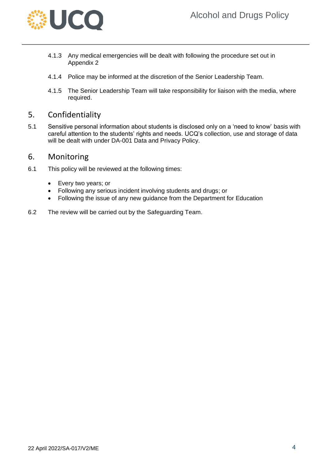

- 4.1.3 Any medical emergencies will be dealt with following the procedure set out in Appendix 2
- 4.1.4 Police may be informed at the discretion of the Senior Leadership Team.
- 4.1.5 The Senior Leadership Team will take responsibility for liaison with the media, where required.

## <span id="page-3-0"></span>5. Confidentiality

5.1 Sensitive personal information about students is disclosed only on a 'need to know' basis with careful attention to the students' rights and needs. UCQ's collection, use and storage of data will be dealt with under DA-001 Data and Privacy Policy.

## <span id="page-3-1"></span>6. Monitoring

- 6.1 This policy will be reviewed at the following times:
	- Every two years; or
	- Following any serious incident involving students and drugs; or
	- Following the issue of any new guidance from the Department for Education
- 6.2 The review will be carried out by the Safeguarding Team.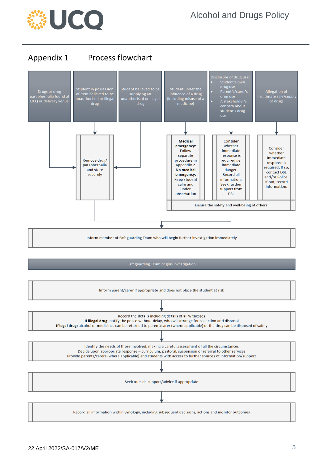

## <span id="page-4-0"></span>Appendix 1 Process flowchart



Safeguarding Team begins investigation

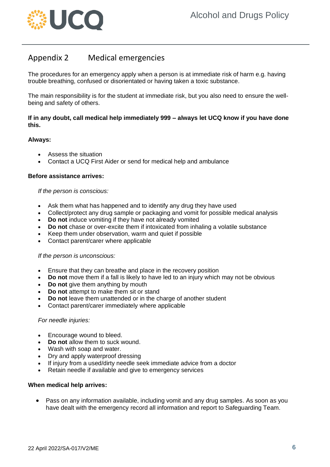

## <span id="page-5-0"></span>Appendix 2 Medical emergencies

The procedures for an emergency apply when a person is at immediate risk of harm e.g. having trouble breathing, confused or disorientated or having taken a toxic substance.

The main responsibility is for the student at immediate risk, but you also need to ensure the wellbeing and safety of others.

#### **If in any doubt, call medical help immediately 999 – always let UCQ know if you have done this.**

#### **Always:**

- Assess the situation
- Contact a UCQ First Aider or send for medical help and ambulance

#### **Before assistance arrives:**

#### *If the person is conscious:*

- Ask them what has happened and to identify any drug they have used
- Collect/protect any drug sample or packaging and vomit for possible medical analysis
- **Do not** induce vomiting if they have not already vomited
- **Do not** chase or over-excite them if intoxicated from inhaling a volatile substance
- Keep them under observation, warm and quiet if possible
- Contact parent/carer where applicable

#### *If the person is unconscious:*

- Ensure that they can breathe and place in the recovery position
- **Do not** move them if a fall is likely to have led to an injury which may not be obvious
- **Do not** give them anything by mouth
- **Do not** attempt to make them sit or stand
- **Do not** leave them unattended or in the charge of another student
- Contact parent/carer immediately where applicable

#### *For needle injuries:*

- Encourage wound to bleed.
- **Do not** allow them to suck wound.
- Wash with soap and water.
- Dry and apply waterproof dressing
- If injury from a used/dirty needle seek immediate advice from a doctor
- Retain needle if available and give to emergency services

#### **When medical help arrives:**

• Pass on any information available, including vomit and any drug samples. As soon as you have dealt with the emergency record all information and report to Safeguarding Team.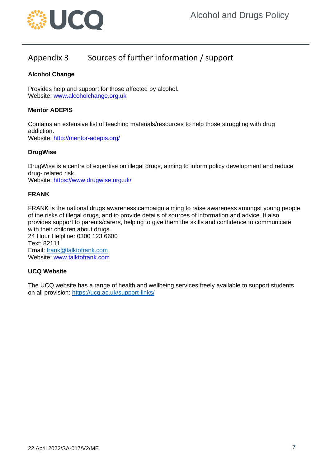

# <span id="page-6-0"></span>Appendix 3 Sources of further information / support

#### **Alcohol Change**

Provides help and support for those affected by alcohol. Website: www.alcoholchange.org.uk

#### **Mentor ADEPIS**

Contains an extensive list of teaching materials/resources to help those struggling with drug addiction. Website: http://mentor-adepis.org/

#### **DrugWise**

DrugWise is a centre of expertise on illegal drugs, aiming to inform policy development and reduce drug- related risk.

Website: https://www.drugwise.org.uk/

#### **FRANK**

FRANK is the national drugs awareness campaign aiming to raise awareness amongst young people of the risks of illegal drugs, and to provide details of sources of information and advice. It also provides support to parents/carers, helping to give them the skills and confidence to communicate with their children about drugs. 24 Hour Helpline: 0300 123 6600 Text: 82111

Email: [frank@talktofrank.com](mailto:frank@talktofrank.com) Website: www.talktofrank.com

#### **UCQ Website**

The UCQ website has a range of health and wellbeing services freely available to support students on all provision:<https://ucq.ac.uk/support-links/>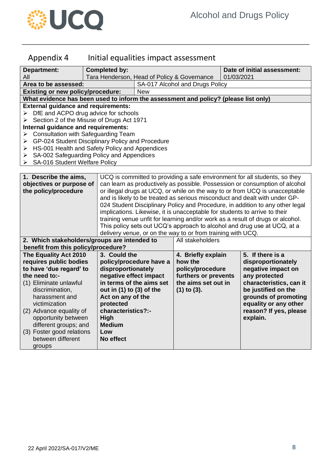

# <span id="page-7-0"></span>Appendix 4 Initial equalities impact assessment

| <b>Department:</b>                                                                  | <b>Completed by:</b>                                  |                                                                                                                                                             |                      | Date of initial assessment: |                         |  |  |  |
|-------------------------------------------------------------------------------------|-------------------------------------------------------|-------------------------------------------------------------------------------------------------------------------------------------------------------------|----------------------|-----------------------------|-------------------------|--|--|--|
| All                                                                                 |                                                       | Tara Henderson, Head of Policy & Governance                                                                                                                 |                      | 01/03/2021                  |                         |  |  |  |
| Area to be assessed:                                                                |                                                       | SA-017 Alcohol and Drugs Policy                                                                                                                             |                      |                             |                         |  |  |  |
| <b>Existing or new policy/procedure:</b>                                            |                                                       | <b>New</b>                                                                                                                                                  |                      |                             |                         |  |  |  |
| What evidence has been used to inform the assessment and policy? (please list only) |                                                       |                                                                                                                                                             |                      |                             |                         |  |  |  |
| <b>External guidance and requirements:</b>                                          |                                                       |                                                                                                                                                             |                      |                             |                         |  |  |  |
|                                                                                     | $\triangleright$ DfE and ACPO drug advice for schools |                                                                                                                                                             |                      |                             |                         |  |  |  |
| Section 2 of the Misuse of Drugs Act 1971<br>➤                                      |                                                       |                                                                                                                                                             |                      |                             |                         |  |  |  |
| Internal guidance and requirements:                                                 |                                                       |                                                                                                                                                             |                      |                             |                         |  |  |  |
| $\triangleright$ Consultation with Safeguarding Team                                |                                                       |                                                                                                                                                             |                      |                             |                         |  |  |  |
| GP-024 Student Disciplinary Policy and Procedure<br>➤                               |                                                       |                                                                                                                                                             |                      |                             |                         |  |  |  |
| HS-001 Health and Safety Policy and Appendices<br>➤                                 |                                                       |                                                                                                                                                             |                      |                             |                         |  |  |  |
| SA-002 Safeguarding Policy and Appendices<br>➤                                      |                                                       |                                                                                                                                                             |                      |                             |                         |  |  |  |
| > SA-016 Student Welfare Policy                                                     |                                                       |                                                                                                                                                             |                      |                             |                         |  |  |  |
|                                                                                     |                                                       |                                                                                                                                                             |                      |                             |                         |  |  |  |
| 1. Describe the aims,<br>objectives or purpose of                                   |                                                       | UCQ is committed to providing a safe environment for all students, so they                                                                                  |                      |                             |                         |  |  |  |
| the policy/procedure                                                                |                                                       | can learn as productively as possible. Possession or consumption of alcohol                                                                                 |                      |                             |                         |  |  |  |
|                                                                                     |                                                       | or illegal drugs at UCQ, or while on the way to or from UCQ is unacceptable                                                                                 |                      |                             |                         |  |  |  |
|                                                                                     |                                                       | and is likely to be treated as serious misconduct and dealt with under GP-                                                                                  |                      |                             |                         |  |  |  |
|                                                                                     |                                                       | 024 Student Disciplinary Policy and Procedure, in addition to any other legal<br>implications. Likewise, it is unacceptable for students to arrive to their |                      |                             |                         |  |  |  |
|                                                                                     |                                                       | training venue unfit for learning and/or work as a result of drugs or alcohol.                                                                              |                      |                             |                         |  |  |  |
|                                                                                     |                                                       | This policy sets out UCQ's approach to alcohol and drug use at UCQ, at a                                                                                    |                      |                             |                         |  |  |  |
|                                                                                     |                                                       | delivery venue, or on the way to or from training with UCQ.                                                                                                 |                      |                             |                         |  |  |  |
| 2. Which stakeholders/groups are intended to                                        |                                                       |                                                                                                                                                             | All stakeholders     |                             |                         |  |  |  |
| benefit from this policy/procedure?                                                 |                                                       |                                                                                                                                                             |                      |                             |                         |  |  |  |
| The Equality Act 2010                                                               | 3. Could the                                          |                                                                                                                                                             | 4. Briefly explain   |                             | 5. If there is a        |  |  |  |
| requires public bodies                                                              |                                                       | policy/procedure have a                                                                                                                                     | how the              |                             | disproportionately      |  |  |  |
| to have 'due regard' to                                                             | disproportionately                                    |                                                                                                                                                             | policy/procedure     |                             | negative impact on      |  |  |  |
| the need to:-                                                                       | negative effect impact                                |                                                                                                                                                             | furthers or prevents |                             | any protected           |  |  |  |
| (1) Eliminate unlawful                                                              |                                                       | in terms of the aims set                                                                                                                                    | the aims set out in  |                             | characteristics, can it |  |  |  |
| discrimination,                                                                     | out in (1) to (3) of the                              |                                                                                                                                                             | $(1)$ to $(3)$ .     |                             | be justified on the     |  |  |  |
| harassment and                                                                      | Act on any of the                                     |                                                                                                                                                             |                      |                             | grounds of promoting    |  |  |  |
| victimization                                                                       | protected                                             |                                                                                                                                                             |                      |                             | equality or any other   |  |  |  |
| (2) Advance equality of                                                             | characteristics?:-                                    |                                                                                                                                                             |                      |                             | reason? If yes, please  |  |  |  |
| opportunity between                                                                 | High                                                  |                                                                                                                                                             |                      |                             | explain.                |  |  |  |
| different groups; and                                                               | <b>Medium</b>                                         |                                                                                                                                                             |                      |                             |                         |  |  |  |
| (3) Foster good relations                                                           | Low                                                   |                                                                                                                                                             |                      |                             |                         |  |  |  |
| between different                                                                   | No effect                                             |                                                                                                                                                             |                      |                             |                         |  |  |  |
| groups                                                                              |                                                       |                                                                                                                                                             |                      |                             |                         |  |  |  |